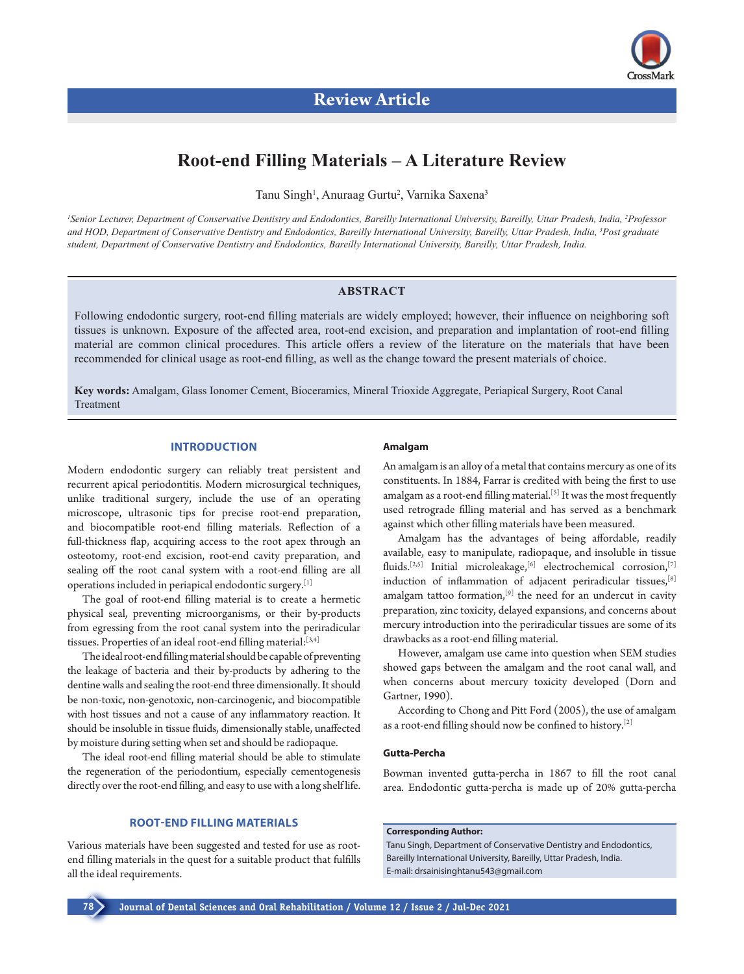

# **Root-end Filling Materials – A Literature Review**

Tanu Singh<sup>1</sup>, Anuraag Gurtu<sup>2</sup>, Varnika Saxena<sup>3</sup>

*1 Senior Lecturer, Department of Conservative Dentistry and Endodontics, Bareilly International University, Bareilly, Uttar Pradesh, India, 2 Professor and HOD, Department of Conservative Dentistry and Endodontics, Bareilly International University, Bareilly, Uttar Pradesh, India, 3 Post graduate student, Department of Conservative Dentistry and Endodontics, Bareilly International University, Bareilly, Uttar Pradesh, India.*

# **ABSTRACT**

Following endodontic surgery, root-end filling materials are widely employed; however, their influence on neighboring soft tissues is unknown. Exposure of the affected area, root-end excision, and preparation and implantation of root-end filling material are common clinical procedures. This article offers a review of the literature on the materials that have been recommended for clinical usage as root-end filling, as well as the change toward the present materials of choice.

**Key words:** Amalgam, Glass Ionomer Cement, Bioceramics, Mineral Trioxide Aggregate, Periapical Surgery, Root Canal Treatment

# **INTRODUCTION**

Modern endodontic surgery can reliably treat persistent and recurrent apical periodontitis. Modern microsurgical techniques, unlike traditional surgery, include the use of an operating microscope, ultrasonic tips for precise root-end preparation, and biocompatible root-end filling materials. Reflection of a full-thickness flap, acquiring access to the root apex through an osteotomy, root-end excision, root-end cavity preparation, and sealing off the root canal system with a root-end filling are all operations included in periapical endodontic surgery.[1]

The goal of root-end filling material is to create a hermetic physical seal, preventing microorganisms, or their by-products from egressing from the root canal system into the periradicular tissues. Properties of an ideal root-end filling material: [3,4]

The ideal root-end filling material should be capable of preventing the leakage of bacteria and their by-products by adhering to the dentine walls and sealing the root-end three dimensionally. It should be non-toxic, non-genotoxic, non-carcinogenic, and biocompatible with host tissues and not a cause of any inflammatory reaction. It should be insoluble in tissue fluids, dimensionally stable, unaffected by moisture during setting when set and should be radiopaque.

The ideal root-end filling material should be able to stimulate the regeneration of the periodontium, especially cementogenesis directly over the root-end filling, and easy to use with a long shelf life.

# **ROOT-END FILLING MATERIALS**

Various materials have been suggested and tested for use as rootend filling materials in the quest for a suitable product that fulfills all the ideal requirements.

#### **Amalgam**

An amalgam is an alloy of a metal that contains mercury as one of its constituents. In 1884, Farrar is credited with being the first to use amalgam as a root-end filling material.<sup>[5]</sup> It was the most frequently used retrograde filling material and has served as a benchmark against which other filling materials have been measured.

Amalgam has the advantages of being affordable, readily available, easy to manipulate, radiopaque, and insoluble in tissue fluids.<sup>[2,5]</sup> Initial microleakage,<sup>[6]</sup> electrochemical corrosion,<sup>[7]</sup> induction of inflammation of adjacent periradicular tissues,[8] amalgam tattoo formation, $[9]$  the need for an undercut in cavity preparation, zinc toxicity, delayed expansions, and concerns about mercury introduction into the periradicular tissues are some of its drawbacks as a root-end filling material.

However, amalgam use came into question when SEM studies showed gaps between the amalgam and the root canal wall, and when concerns about mercury toxicity developed (Dorn and Gartner, 1990).

According to Chong and Pitt Ford (2005), the use of amalgam as a root-end filling should now be confined to history.[2]

### **Gutta-Percha**

Bowman invented gutta-percha in 1867 to fill the root canal area. Endodontic gutta-percha is made up of 20% gutta-percha

**Corresponding Author:** 

Tanu Singh, Department of Conservative Dentistry and Endodontics, Bareilly International University, Bareilly, Uttar Pradesh, India. E-mail: drsainisinghtanu543@gmail.com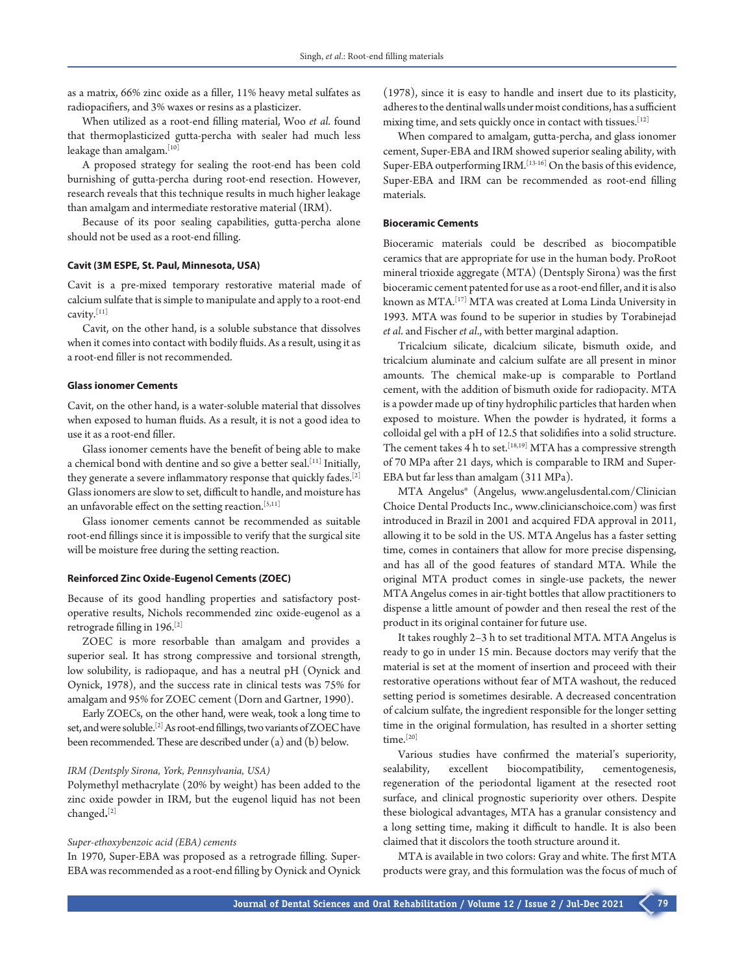as a matrix, 66% zinc oxide as a filler, 11% heavy metal sulfates as radiopacifiers, and 3% waxes or resins as a plasticizer.

When utilized as a root-end filling material, Woo *et al*. found that thermoplasticized gutta-percha with sealer had much less leakage than amalgam.<sup>[10]</sup>

A proposed strategy for sealing the root-end has been cold burnishing of gutta-percha during root-end resection. However, research reveals that this technique results in much higher leakage than amalgam and intermediate restorative material (IRM).

Because of its poor sealing capabilities, gutta-percha alone should not be used as a root-end filling.

#### **Cavit (3M ESPE, St. Paul, Minnesota, USA)**

Cavit is a pre-mixed temporary restorative material made of calcium sulfate that is simple to manipulate and apply to a root-end cavity.[11]

Cavit, on the other hand, is a soluble substance that dissolves when it comes into contact with bodily fluids. As a result, using it as a root-end filler is not recommended.

#### **Glass ionomer Cements**

Cavit, on the other hand, is a water-soluble material that dissolves when exposed to human fluids. As a result, it is not a good idea to use it as a root-end filler.

Glass ionomer cements have the benefit of being able to make a chemical bond with dentine and so give a better seal.  $^{\left[ 11\right] }$  Initially, they generate a severe inflammatory response that quickly fades.<sup>[2]</sup> Glass ionomers are slow to set, difficult to handle, and moisture has an unfavorable effect on the setting reaction.<sup>[5,11]</sup>

Glass ionomer cements cannot be recommended as suitable root-end fillings since it is impossible to verify that the surgical site will be moisture free during the setting reaction.

# **Reinforced Zinc Oxide-Eugenol Cements (ZOEC)**

Because of its good handling properties and satisfactory postoperative results, Nichols recommended zinc oxide-eugenol as a retrograde filling in 196.[2]

ZOEC is more resorbable than amalgam and provides a superior seal. It has strong compressive and torsional strength, low solubility, is radiopaque, and has a neutral pH (Oynick and Oynick, 1978), and the success rate in clinical tests was 75% for amalgam and 95% for ZOEC cement (Dorn and Gartner, 1990).

Early ZOECs, on the other hand, were weak, took a long time to set, and were soluble.[2] As root-end fillings, two variants of ZOEC have been recommended. These are described under (a) and (b) below.

#### *IRM (Dentsply Sirona, York, Pennsylvania, USA)*

Polymethyl methacrylate (20% by weight) has been added to the zinc oxide powder in IRM, but the eugenol liquid has not been changed**.** [2]

#### *Super-ethoxybenzoic acid (EBA) cements*

In 1970, Super-EBA was proposed as a retrograde filling. Super-EBA was recommended as a root-end filling by Oynick and Oynick

(1978), since it is easy to handle and insert due to its plasticity, adheres to the dentinal walls under moist conditions, has a sufficient mixing time, and sets quickly once in contact with tissues.<sup>[12]</sup>

When compared to amalgam, gutta-percha, and glass ionomer cement, Super-EBA and IRM showed superior sealing ability, with Super-EBA outperforming IRM.<sup>[13-16]</sup> On the basis of this evidence, Super-EBA and IRM can be recommended as root-end filling materials.

#### **Bioceramic Cements**

Bioceramic materials could be described as biocompatible ceramics that are appropriate for use in the human body. ProRoot mineral trioxide aggregate (MTA) (Dentsply Sirona) was the first bioceramic cement patented for use as a root-end filler, and it is also known as MTA.[17] MTA was created at Loma Linda University in 1993. MTA was found to be superior in studies by Torabinejad *et al*. and Fischer *et al*., with better marginal adaption.

Tricalcium silicate, dicalcium silicate, bismuth oxide, and tricalcium aluminate and calcium sulfate are all present in minor amounts. The chemical make-up is comparable to Portland cement, with the addition of bismuth oxide for radiopacity. MTA is a powder made up of tiny hydrophilic particles that harden when exposed to moisture. When the powder is hydrated, it forms a colloidal gel with a pH of 12.5 that solidifies into a solid structure. The cement takes 4 h to set.<sup>[18,19]</sup> MTA has a compressive strength of 70 MPa after 21 days, which is comparable to IRM and Super-EBA but far less than amalgam (311 MPa).

MTA Angelus® (Angelus, www.angelusdental.com/Clinician Choice Dental Products Inc., www.clinicianschoice.com) was first introduced in Brazil in 2001 and acquired FDA approval in 2011, allowing it to be sold in the US. MTA Angelus has a faster setting time, comes in containers that allow for more precise dispensing, and has all of the good features of standard MTA. While the original MTA product comes in single-use packets, the newer MTA Angelus comes in air-tight bottles that allow practitioners to dispense a little amount of powder and then reseal the rest of the product in its original container for future use.

It takes roughly 2–3 h to set traditional MTA. MTA Angelus is ready to go in under 15 min. Because doctors may verify that the material is set at the moment of insertion and proceed with their restorative operations without fear of MTA washout, the reduced setting period is sometimes desirable. A decreased concentration of calcium sulfate, the ingredient responsible for the longer setting time in the original formulation, has resulted in a shorter setting time.<sup>[20]</sup>

Various studies have confirmed the material's superiority, sealability, excellent biocompatibility, cementogenesis, regeneration of the periodontal ligament at the resected root surface, and clinical prognostic superiority over others. Despite these biological advantages, MTA has a granular consistency and a long setting time, making it difficult to handle. It is also been claimed that it discolors the tooth structure around it.

MTA is available in two colors: Gray and white. The first MTA products were gray, and this formulation was the focus of much of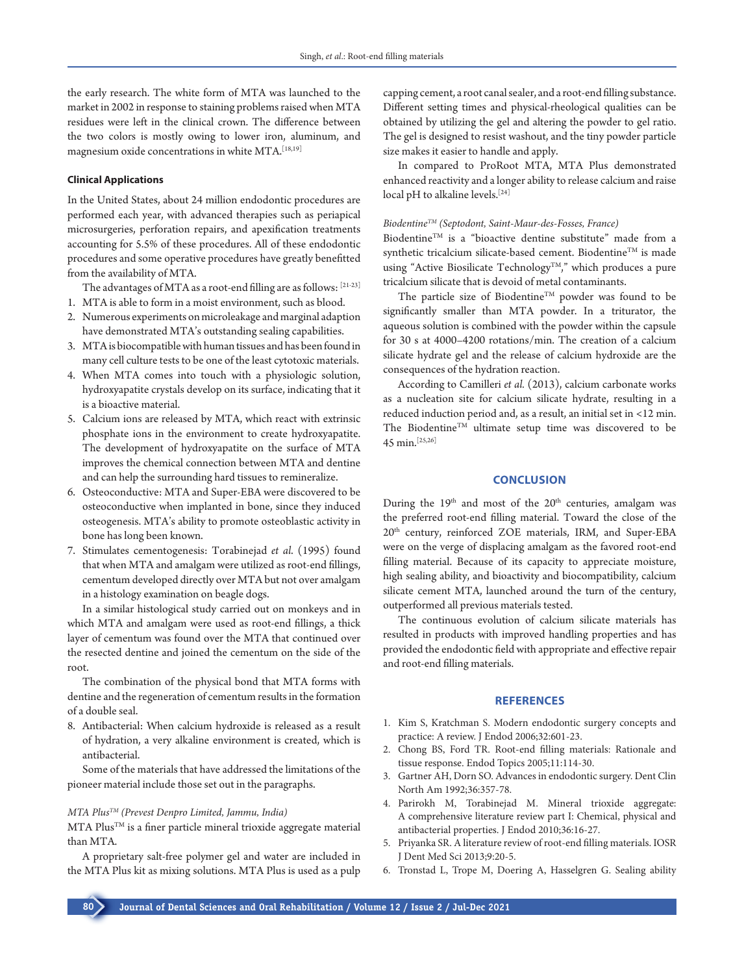the early research. The white form of MTA was launched to the market in 2002 in response to staining problems raised when MTA residues were left in the clinical crown. The difference between the two colors is mostly owing to lower iron, aluminum, and magnesium oxide concentrations in white MTA.[18,19]

# **Clinical Applications**

In the United States, about 24 million endodontic procedures are performed each year, with advanced therapies such as periapical microsurgeries, perforation repairs, and apexification treatments accounting for 5.5% of these procedures. All of these endodontic procedures and some operative procedures have greatly benefitted from the availability of MTA.

The advantages of MTA as a root-end filling are as follows: [21-23]

- 1. MTA is able to form in a moist environment, such as blood.
- 2. Numerous experiments on microleakage and marginal adaption have demonstrated MTA's outstanding sealing capabilities.
- 3. MTA is biocompatible with human tissues and has been found in many cell culture tests to be one of the least cytotoxic materials.
- 4. When MTA comes into touch with a physiologic solution, hydroxyapatite crystals develop on its surface, indicating that it is a bioactive material.
- 5. Calcium ions are released by MTA, which react with extrinsic phosphate ions in the environment to create hydroxyapatite. The development of hydroxyapatite on the surface of MTA improves the chemical connection between MTA and dentine and can help the surrounding hard tissues to remineralize.
- 6. Osteoconductive: MTA and Super-EBA were discovered to be osteoconductive when implanted in bone, since they induced osteogenesis. MTA's ability to promote osteoblastic activity in bone has long been known.
- 7. Stimulates cementogenesis: Torabinejad *et al*. (1995) found that when MTA and amalgam were utilized as root-end fillings, cementum developed directly over MTA but not over amalgam in a histology examination on beagle dogs.

In a similar histological study carried out on monkeys and in which MTA and amalgam were used as root-end fillings, a thick layer of cementum was found over the MTA that continued over the resected dentine and joined the cementum on the side of the root.

The combination of the physical bond that MTA forms with dentine and the regeneration of cementum results in the formation of a double seal.

8. Antibacterial: When calcium hydroxide is released as a result of hydration, a very alkaline environment is created, which is antibacterial.

Some of the materials that have addressed the limitations of the pioneer material include those set out in the paragraphs.

# *MTA PlusTM (Prevest Denpro Limited, Jammu, India)*

MTA Plus<sup>TM</sup> is a finer particle mineral trioxide aggregate material than MTA.

A proprietary salt-free polymer gel and water are included in the MTA Plus kit as mixing solutions. MTA Plus is used as a pulp

capping cement, a root canal sealer, and a root-end filling substance. Different setting times and physical-rheological qualities can be obtained by utilizing the gel and altering the powder to gel ratio. The gel is designed to resist washout, and the tiny powder particle size makes it easier to handle and apply.

In compared to ProRoot MTA, MTA Plus demonstrated enhanced reactivity and a longer ability to release calcium and raise local pH to alkaline levels.<sup>[24]</sup>

## *BiodentineTM (Septodont, Saint-Maur-des-Fosses, France)*

Biodentine<sup>TM</sup> is a "bioactive dentine substitute" made from a synthetic tricalcium silicate-based cement. Biodentine™ is made using "Active Biosilicate Technology<sup>TM</sup>," which produces a pure tricalcium silicate that is devoid of metal contaminants.

The particle size of Biodentine™ powder was found to be significantly smaller than MTA powder. In a triturator, the aqueous solution is combined with the powder within the capsule for 30 s at 4000–4200 rotations/min. The creation of a calcium silicate hydrate gel and the release of calcium hydroxide are the consequences of the hydration reaction.

According to Camilleri *et al.* (2013), calcium carbonate works as a nucleation site for calcium silicate hydrate, resulting in a reduced induction period and, as a result, an initial set in <12 min. The Biodentine<sup>TM</sup> ultimate setup time was discovered to be 45 min.[25,26]

### **CONCLUSION**

During the  $19<sup>th</sup>$  and most of the  $20<sup>th</sup>$  centuries, amalgam was the preferred root-end filling material. Toward the close of the 20th century, reinforced ZOE materials, IRM, and Super-EBA were on the verge of displacing amalgam as the favored root-end filling material. Because of its capacity to appreciate moisture, high sealing ability, and bioactivity and biocompatibility, calcium silicate cement MTA, launched around the turn of the century, outperformed all previous materials tested.

The continuous evolution of calcium silicate materials has resulted in products with improved handling properties and has provided the endodontic field with appropriate and effective repair and root-end filling materials.

## **REFERENCES**

- 1. Kim S, Kratchman S. Modern endodontic surgery concepts and practice: A review. J Endod 2006;32:601-23.
- 2. Chong BS, Ford TR. Root-end filling materials: Rationale and tissue response. Endod Topics 2005;11:114-30.
- 3. Gartner AH, Dorn SO. Advances in endodontic surgery. Dent Clin North Am 1992;36:357-78.
- 4. Parirokh M, Torabinejad M. Mineral trioxide aggregate: A comprehensive literature review part I: Chemical, physical and antibacterial properties. J Endod 2010;36:16-27.
- 5. Priyanka SR. A literature review of root-end filling materials. IOSR J Dent Med Sci 2013;9:20-5.
- 6. Tronstad L, Trope M, Doering A, Hasselgren G. Sealing ability